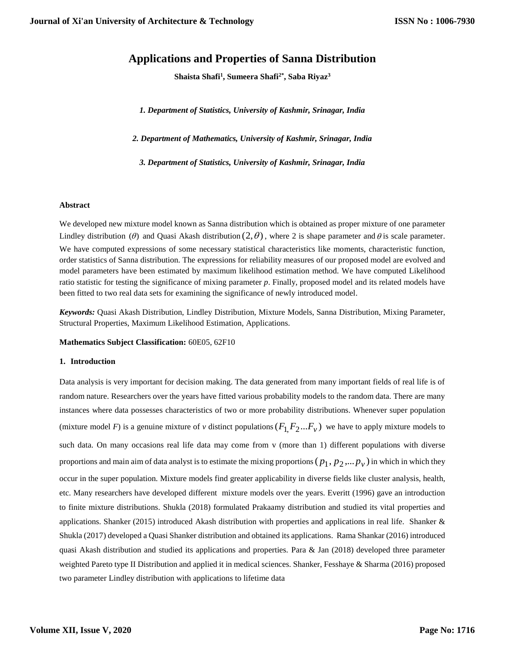# **Applications and Properties of Sanna Distribution**

**Shaista Shafi<sup>1</sup> , Sumeera Shafi2\*, Saba Riyaz<sup>3</sup>**

*1. Department of Statistics, University of Kashmir, Srinagar, India*

*2. Department of Mathematics, University of Kashmir, Srinagar, India*

*3. Department of Statistics, University of Kashmir, Srinagar, India*

## **Abstract**

We developed new mixture model known as Sanna distribution which is obtained as proper mixture of one parameter Lindley distribution ( $\theta$ ) and Quasi Akash distribution  $(2, \theta)$ , where 2 is shape parameter and  $\theta$  is scale parameter. We have computed expressions of some necessary statistical characteristics like moments, characteristic function, order statistics of Sanna distribution. The expressions for reliability measures of our proposed model are evolved and model parameters have been estimated by maximum likelihood estimation method. We have computed Likelihood ratio statistic for testing the significance of mixing parameter *p*. Finally, proposed model and its related models have been fitted to two real data sets for examining the significance of newly introduced model.

*Keywords:* Quasi Akash Distribution, Lindley Distribution, Mixture Models, Sanna Distribution, Mixing Parameter, Structural Properties, Maximum Likelihood Estimation, Applications.

# **Mathematics Subject Classification:** 60E05, 62F10

#### **1. Introduction**

Data analysis is very important for decision making. The data generated from many important fields of real life is of random nature. Researchers over the years have fitted various probability models to the random data. There are many instances where data possesses characteristics of two or more probability distributions. Whenever super population (mixture model *F*) is a genuine mixture of *v* distinct populations  $(F_1, F_2...F_\nu)$  we have to apply mixture models to such data. On many occasions real life data may come from v (more than 1) different populations with diverse proportions and main aim of data analyst is to estimate the mixing proportions  $(p_1, p_2, ... p_{\nu})$  in which in which they occur in the super population. Mixture models find greater applicability in diverse fields like cluster analysis, health, etc. Many researchers have developed different mixture models over the years. Everitt (1996) gave an introduction to finite mixture distributions. Shukla (2018) formulated Prakaamy distribution and studied its vital properties and applications. Shanker (2015) introduced Akash distribution with properties and applications in real life. Shanker & Shukla (2017) developed a Quasi Shanker distribution and obtained its applications. Rama Shankar (2016) introduced quasi Akash distribution and studied its applications and properties. Para & Jan (2018) developed three parameter weighted Pareto type II Distribution and applied it in medical sciences. Shanker, Fesshaye & Sharma (2016) proposed two parameter Lindley distribution with applications to lifetime data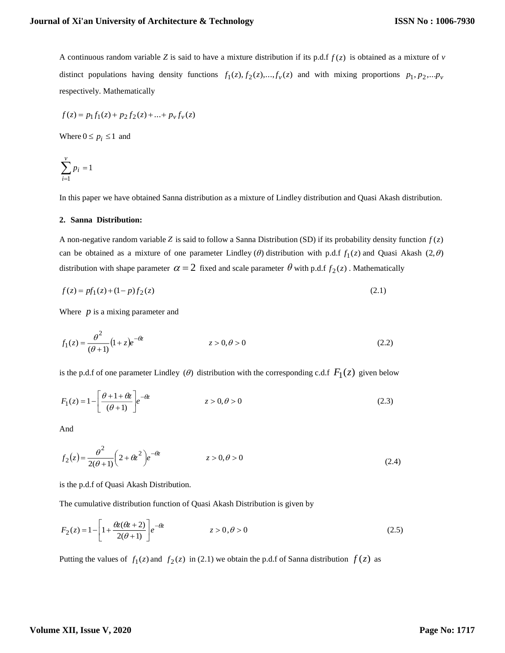A continuous random variable *Z* is said to have a mixture distribution if its p.d.f *f* (*z*) is obtained as a mixture of *v* distinct populations having density functions  $f_1(z)$ ,  $f_2(z)$ , ...,  $f_y(z)$  and with mixing proportions  $p_1$ ,  $p_2$ , ...  $p_y$ respectively. Mathematically

$$
f(z) = p_1 f_1(z) + p_2 f_2(z) + \dots + p_v f_v(z)
$$

Where  $0 \le p_i \le 1$  and

$$
\sum_{i=1}^{\nu} p_i = 1
$$

In this paper we have obtained Sanna distribution as a mixture of Lindley distribution and Quasi Akash distribution.

#### **2. Sanna Distribution:**

A non-negative random variable Z is said to follow a Sanna Distribution (SD) if its probability density function  $f(z)$ can be obtained as a mixture of one parameter Lindley ( $\theta$ ) distribution with p.d.f  $f_1(z)$  and Quasi Akash (2, $\theta$ ) distribution with shape parameter  $\alpha = 2$  fixed and scale parameter  $\theta$  with p.d.f  $f_2(z)$ . Mathematically

$$
f(z) = pf_1(z) + (1 - p)f_2(z)
$$
\n(2.1)

Where  $p$  is a mixing parameter and

$$
f_1(z) = \frac{\theta^2}{(\theta + 1)} (1 + z)e^{-\theta z} \qquad z > 0, \theta > 0
$$
 (2.2)

is the p.d.f of one parameter Lindley ( $\theta$ ) distribution with the corresponding c.d.f  $F_1(z)$  given below

$$
F_1(z) = 1 - \left[\frac{\theta + 1 + \theta z}{(\theta + 1)}\right]e^{-\theta z}
$$
  $z > 0, \theta > 0$  (2.3)

And

$$
f_2(z) = \frac{\theta^2}{2(\theta + 1)} \left(2 + \theta z^2\right) e^{-\theta z} \qquad z > 0, \theta > 0 \tag{2.4}
$$

is the p.d.f of Quasi Akash Distribution.

The cumulative distribution function of Quasi Akash Distribution is given by

$$
F_2(z) = 1 - \left[1 + \frac{\theta z(\theta z + 2)}{2(\theta + 1)}\right] e^{-\theta z} \qquad z > 0, \theta > 0
$$
\n(2.5)

Putting the values of  $f_1(z)$  and  $f_2(z)$  in (2.1) we obtain the p.d.f of Sanna distribution  $f(z)$  as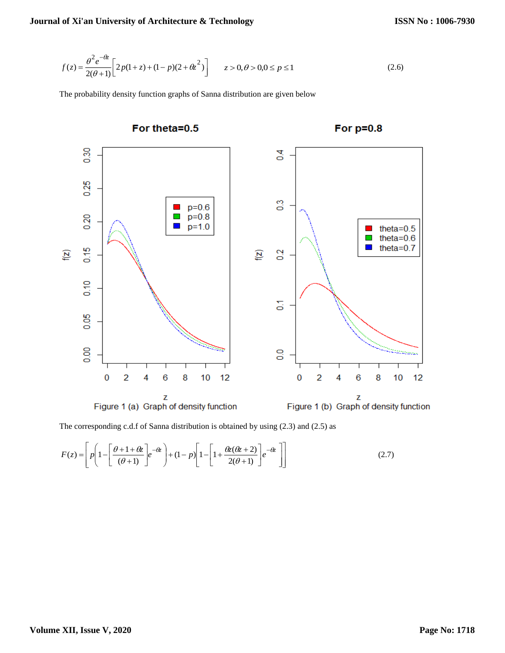$$
f(z) = \frac{\theta^2 e^{-\theta z}}{2(\theta + 1)} \left[ 2p(1 + z) + (1 - p)(2 + \theta z^2) \right] \qquad z > 0, \theta > 0, 0 \le p \le 1 \tag{2.6}
$$

The probability density function graphs of Sanna distribution are given below



The corresponding c.d.f of Sanna distribution is obtained by using (2.3) and (2.5) as

$$
F(z) = \left[ p \left( 1 - \left[ \frac{\theta + 1 + \theta z}{(\theta + 1)} \right] e^{-\theta z} \right) + (1 - p) \left[ 1 - \left[ 1 + \frac{\theta z(\theta z + 2)}{2(\theta + 1)} \right] e^{-\theta z} \right] \right]
$$
(2.7)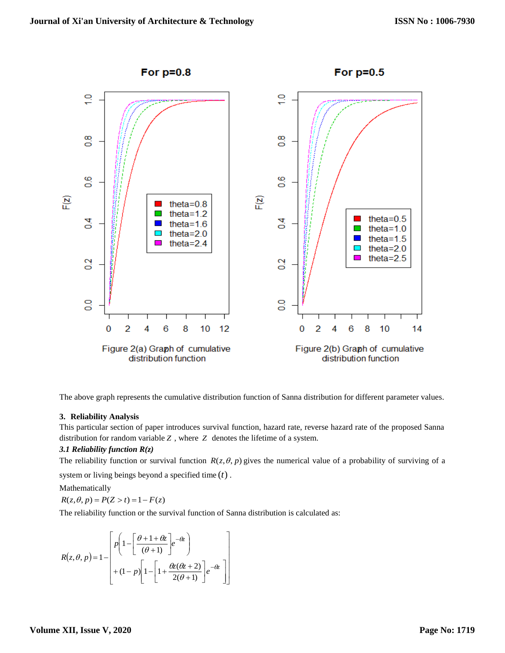

The above graph represents the cumulative distribution function of Sanna distribution for different parameter values.

#### **3. Reliability Analysis**

This particular section of paper introduces survival function, hazard rate, reverse hazard rate of the proposed Sanna distribution for random variable *Z* , where *Z* denotes the lifetime of a system.

# *3.1 Reliability function R(z)*

The reliability function or survival function  $R(z, \theta, p)$  gives the numerical value of a probability of surviving of a system or living beings beyond a specified time (*t*) .

Mathematically

 $R(z, \theta, p) = P(Z > t) = 1 - F(z)$ 

The reliability function or the survival function of Sanna distribution is calculated as:

$$
R(z, \theta, p) = 1 - \left[ p \left( 1 - \left[ \frac{\theta + 1 + \theta z}{(\theta + 1)} \right] e^{-\theta z} \right) + (1 - p) \left[ 1 - \left[ 1 + \frac{\theta z(\theta z + 2)}{2(\theta + 1)} \right] e^{-\theta z} \right] \right]
$$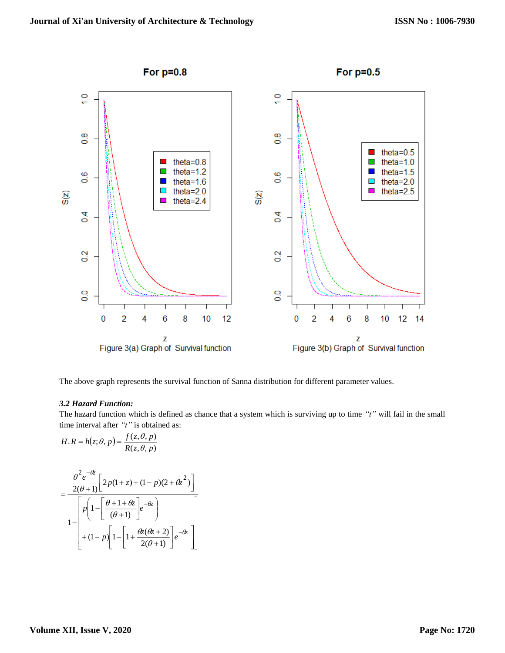

The above graph represents the survival function of Sanna distribution for different parameter values.

# *3.2 Hazard Function:*

The hazard function which is defined as chance that a system which is surviving up to time *"t"* will fail in the small time interval after *"t"* is obtained as:

$$
H.R = h(z; \theta, p) = \frac{f(z, \theta, p)}{R(z, \theta, p)}
$$

$$
=\frac{\frac{\theta^2 e^{-\theta z}}{2(\theta+1)} \left[2p(1+z)+(1-p)(2+\theta z^2)\right]}{1-\left[p\left(1-\left[\frac{\theta+1+\theta z}{(\theta+1)}\right]e^{-\theta z}\right)\right]}{1+(1-p)\left[1-\left[1+\frac{\theta z(\theta z+2)}{2(\theta+1)}\right]e^{-\theta z}\right]}
$$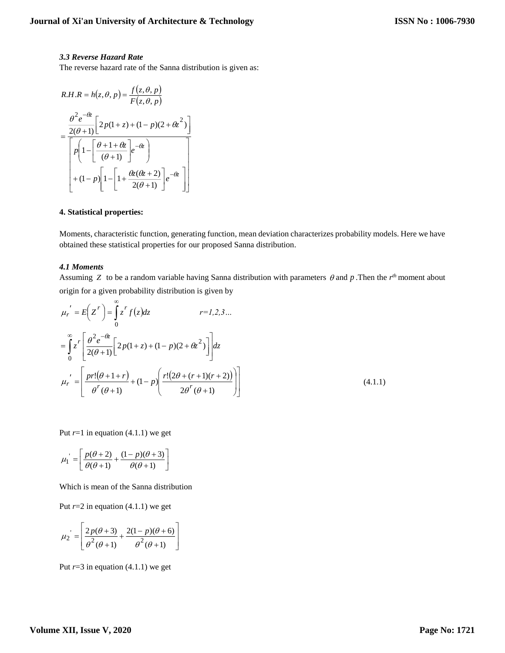## *3.3 Reverse Hazard Rate*

The reverse hazard rate of the Sanna distribution is given as:

$$
R.H.R = h(z, \theta, p) = \frac{f(z, \theta, p)}{F(z, \theta, p)}
$$

$$
= \frac{\frac{\theta^2 e^{-\theta z}}{2(\theta + 1)} \left[ 2p(1 + z) + (1 - p)(2 + \theta z^2) \right]}{\left[ p \left( 1 - \left[ \frac{\theta + 1 + \theta z}{(\theta + 1)} \right] e^{-\theta z} \right) + (1 - p) \left[ 1 - \left[ 1 + \frac{\theta z(\theta z + 2)}{2(\theta + 1)} \right] e^{-\theta z} \right]}\right]}
$$

## **4. Statistical properties:**

Moments, characteristic function, generating function, mean deviation characterizes probability models. Here we have obtained these statistical properties for our proposed Sanna distribution.

#### *4.1 Moments*

Assuming Z to be a random variable having Sanna distribution with parameters  $\theta$  and  $p$ . Then the  $r^{th}$  moment about origin for a given probability distribution is given by

$$
\mu_r' = E\left(Z^r\right) = \int_0^\infty z^r f(z) dz \qquad r = 1, 2, 3 \dots
$$
  

$$
= \int_0^\infty z^r \left[\frac{\theta^2 e^{-\theta z}}{2(\theta + 1)} \left[2p(1 + z) + (1 - p)(2 + \theta z^2)\right]\right] dz
$$
  

$$
\mu_r' = \left[\frac{pr!(\theta + 1 + r)}{\theta^r(\theta + 1)} + (1 - p)\left(\frac{r!(2\theta + (r + 1)(r + 2))}{2\theta^r(\theta + 1)}\right)\right]
$$
(4.1.1)

Put  $r=1$  in equation (4.1.1) we get

$$
\mu_1 = \left[ \frac{p(\theta+2)}{\theta(\theta+1)} + \frac{(1-p)(\theta+3)}{\theta(\theta+1)} \right]
$$

Which is mean of the Sanna distribution

Put  $r=2$  in equation  $(4.1.1)$  we get

$$
\mu_2 = \left[ \frac{2p(\theta + 3)}{\theta^2(\theta + 1)} + \frac{2(1 - p)(\theta + 6)}{\theta^2(\theta + 1)} \right]
$$

Put  $r=3$  in equation (4.1.1) we get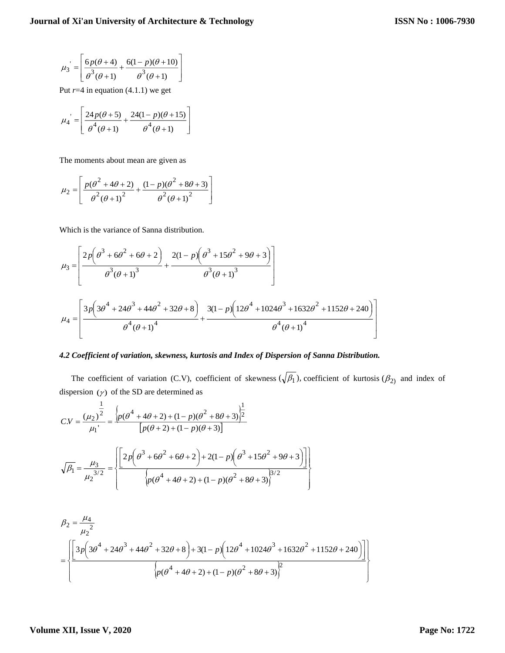I l

1

l

J

$$
\mu_3 = \left[ \frac{6p(\theta + 4)}{\theta^3(\theta + 1)} + \frac{6(1 - p)(\theta + 10)}{\theta^3(\theta + 1)} \right]
$$

Put  $r=4$  in equation  $(4.1.1)$  we get

$$
\mu_4 = \left[ \frac{24p(\theta+5)}{\theta^4(\theta+1)} + \frac{24(1-p)(\theta+15)}{\theta^4(\theta+1)} \right]
$$

The moments about mean are given as

$$
\mu_2 = \left[ \frac{p(\theta^2 + 4\theta + 2)}{\theta^2 (\theta + 1)^2} + \frac{(1 - p)(\theta^2 + 8\theta + 3)}{\theta^2 (\theta + 1)^2} \right]
$$

Which is the variance of Sanna distribution.

$$
\mu_3 = \left[ \frac{2p\left(\theta^3 + 6\theta^2 + 6\theta + 2\right)}{\theta^3(\theta + 1)^3} + \frac{2(1 - p)\left(\theta^3 + 15\theta^2 + 9\theta + 3\right)}{\theta^3(\theta + 1)^3} \right]
$$
  

$$
\mu_4 = \left[ \frac{3p\left(3\theta^4 + 24\theta^3 + 44\theta^2 + 32\theta + 8\right)}{\theta^4(\theta + 1)^4} + \frac{3(1 - p)\left(12\theta^4 + 1024\theta^3 + 1632\theta^2 + 1152\theta + 240\right)}{\theta^4(\theta + 1)^4} \right]
$$

## *4.2 Coefficient of variation, skewness, kurtosis and Index of Dispersion of Sanna Distribution.*

The coefficient of variation (C.V), coefficient of skewness  $(\sqrt{\beta_1})$ , coefficient of kurtosis  $(\beta_2)$  and index of dispersion  $(y)$  of the SD are determined as

$$
CN = \frac{(\mu_2)^{\frac{1}{2}}}{\mu_1} = \frac{\left\{p(\theta^4 + 4\theta + 2) + (1 - p)(\theta^2 + 8\theta + 3)\right\}^{\frac{1}{2}}}{\left[p(\theta + 2) + (1 - p)(\theta + 3)\right]}
$$

$$
\sqrt{\beta_1} = \frac{\mu_3}{\mu_2^{3/2}} = \left\{\frac{\left[2p\left(\theta^3 + 6\theta^2 + 6\theta + 2\right) + 2(1 - p)\left(\theta^3 + 15\theta^2 + 9\theta + 3\right)\right]}{\left\{p(\theta^4 + 4\theta + 2) + (1 - p)(\theta^2 + 8\theta + 3)\right\}^{3/2}}\right\}
$$

$$
\beta_2 = \frac{\mu_4}{\mu_2^2}
$$
\n
$$
= \left\{\n\left[\n\frac{3p\left(3\theta^4 + 24\theta^3 + 44\theta^2 + 32\theta + 8\right) + 3(1 - p)\left(12\theta^4 + 1024\theta^3 + 1632\theta^2 + 1152\theta + 240\right)}{p(\theta^4 + 4\theta + 2) + (1 - p)(\theta^2 + 8\theta + 3)^2}\n\right\}
$$

## **Volume XII, Issue V, 2020**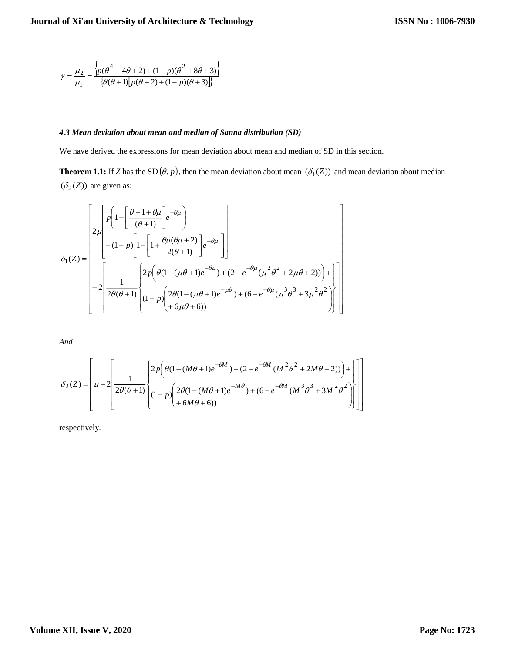$$
\gamma = \frac{\mu_2}{\mu_1} = \frac{\left\{ p(\theta^4 + 4\theta + 2) + (1 - p)(\theta^2 + 8\theta + 3) \right\}}{\left\{ \theta(\theta + 1) \left[ p(\theta + 2) + (1 - p)(\theta + 3) \right] \right\}}
$$

# *4.3 Mean deviation about mean and median of Sanna distribution (SD)*

We have derived the expressions for mean deviation about mean and median of SD in this section.

**Theorem 1.1:** If *Z* has the SD  $(\theta, p)$ , then the mean deviation about mean  $(\delta_1(Z))$  and mean deviation about median  $(\delta_2(Z))$  are given as:

 6 6)) 2 (1 ( 1) ) (6 ( 3 (1 ) 2 (1 ( 1) ) (2 ( 2 2)) 2 ( 1) 1 2 2( 1) ( 2) (1 ) 1 1 ( 1) 1 1 2 ( ) 3 2 2 2 2 1 *e e p p <sup>e</sup> <sup>e</sup> p <sup>e</sup> p <sup>e</sup> Z*

*And*

$$
\delta_2(Z) = \left[ \mu - 2 \left[ \frac{1}{2\theta(\theta+1)} \left\{ 2p \left( \theta(1 - (M\theta+1)e^{-\theta M}) + (2 - e^{-\theta M} (M^2 \theta^2 + 2M\theta + 2)) \right) + \right\} \right] \right] \right]
$$
  

$$
\delta_2(Z) = \left[ \mu - 2 \left[ \frac{1}{2\theta(\theta+1)} \left\{ (1-p) \left( 2\theta(1 - (M\theta+1)e^{-M\theta}) + (6 - e^{-\theta M} (M^3 \theta^3 + 3M^2 \theta^2) \right) \right\} \right] \right]
$$

respectively.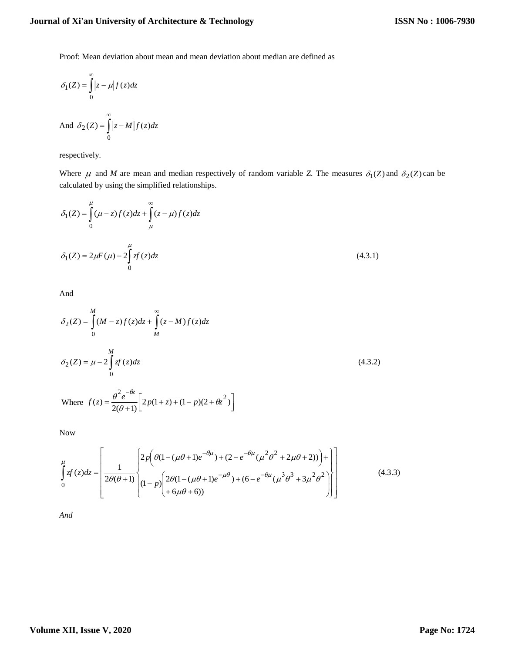# **Journal of Xi'an University of Architecture & Technology**

Proof: Mean deviation about mean and mean deviation about median are defined as

$$
\delta_1(Z) = \int_0^\infty |z - \mu| f(z) dz
$$

And 
$$
\delta_2(Z) = \int_0^\infty |z - M| f(z) dz
$$

respectively.

Where  $\mu$  and *M* are mean and median respectively of random variable *Z*. The measures  $\delta_1(Z)$  and  $\delta_2(Z)$  can be calculated by using the simplified relationships.

$$
\delta_1(Z) = \int_0^{\mu} (\mu - z) f(z) dz + \int_{\mu}^{\infty} (z - \mu) f(z) dz
$$
  

$$
\delta_1(Z) = 2\mu F(\mu) - 2 \int_0^{\mu} z f(z) dz
$$
 (4.3.1)

And

$$
\delta_2(Z) = \int_0^M (M - z) f(z) dz + \int_M^{\infty} (z - M) f(z) dz
$$
\n
$$
\delta_2(Z) = \mu - 2 \int_0^M z f(z) dz
$$
\n(4.3.2)\nWhere  $f(z) = \frac{\theta^2 e^{-\theta z}}{2(\theta + 1)} \Big[ 2p(1 + z) + (1 - p)(2 + \theta z^2) \Big]$ 

Now

$$
\int_{0}^{\mu} f(z)dz = \left[ \frac{1}{2\theta(\theta+1)} \left\{ 2p \left( \theta(1 - (\mu\theta+1)e^{-\theta\mu}) + (2 - e^{-\theta\mu}(\mu^{2}\theta^{2} + 2\mu\theta + 2)) \right) + \right\} \right] \left[ (1-p) \left( 2\theta(1 - (\mu\theta+1)e^{-\mu\theta}) + (6 - e^{-\theta\mu}(\mu^{3}\theta^{3} + 3\mu^{2}\theta^{2}) \right) \right] \right]
$$
(4.3.3)

*And*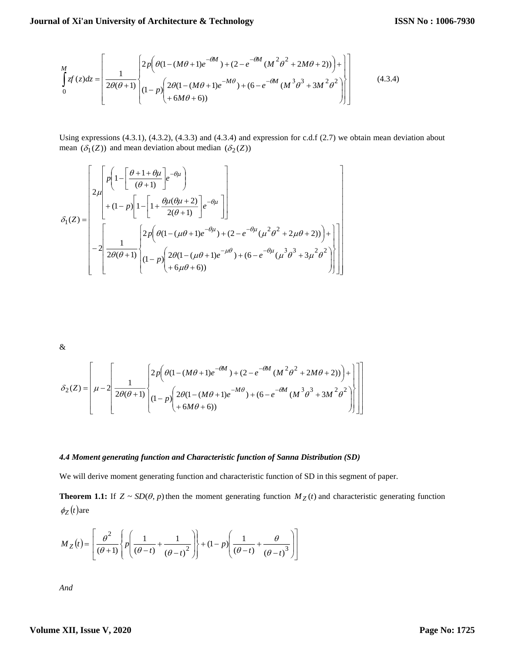$$
\int_{0}^{M} f(z)dz = \left[ \frac{1}{2\theta(\theta+1)} \left\{ \frac{2p \left( \theta(1 - (M\theta+1)e^{-\theta M}) + (2 - e^{-\theta M} (M^2\theta^2 + 2M\theta + 2)) \right) + \right\}}{(1-p) \left( \frac{2\theta(1 - (M\theta+1)e^{-M\theta}) + (6 - e^{-\theta M} (M^3\theta^3 + 3M^2\theta^2)}{(M^3\theta^3 + 3M^2\theta^2)} \right) \right] \tag{4.3.4}
$$

Using expressions (4.3.1), (4.3.2), (4.3.3) and (4.3.4) and expression for c.d.f (2.7) we obtain mean deviation about mean  $(\delta_1(Z))$  and mean deviation about median  $(\delta_2(Z))$ 

 6 6)) 2 (1 ( 1) ) (6 ( 3 (1 ) 2 (1 ( 1) ) (2 ( 2 2)) 2 ( 1) 1 2 2( 1) ( 2) (1 ) 1 1 ( 1) 1 1 2 ( ) 3 2 2 2 2 1 *e e p p <sup>e</sup> <sup>e</sup> p <sup>e</sup> p <sup>e</sup> Z*

&

$$
\delta_2(Z) = \left[\mu - 2 \left[ \frac{1}{2\theta(\theta+1)} \left\{ 2p \left( \theta(1 - (M\theta+1)e^{-\theta M}) + (2 - e^{-\theta M} (M^2\theta^2 + 2M\theta + 2)) \right) + \right\} \right] \right] \right]
$$
  

$$
\delta_2(Z) = \left[\mu - 2 \left[ \frac{1}{2\theta(\theta+1)} \left\{ (1-p) \left( \frac{2\theta(1 - (M\theta+1)e^{-M\theta}) + (6 - e^{-\theta M} (M^3\theta^3 + 3M^2\theta^2)}{1 + 6M\theta + 6)} \right) \right\} \right]
$$

## *4.4 Moment generating function and Characteristic function of Sanna Distribution (SD)*

We will derive moment generating function and characteristic function of SD in this segment of paper.

**Theorem 1.1:** If  $Z \sim SD(\theta, p)$  then the moment generating function  $M_Z(t)$  and characteristic generating function  $\phi_Z(t)$ are

$$
M_Z(t) = \left[ \frac{\theta^2}{(\theta+1)} \left\{ p \left( \frac{1}{(\theta-t)} + \frac{1}{(\theta-t)^2} \right) \right\} + (1-p) \left( \frac{1}{(\theta-t)} + \frac{\theta}{(\theta-t)^3} \right) \right]
$$

*And*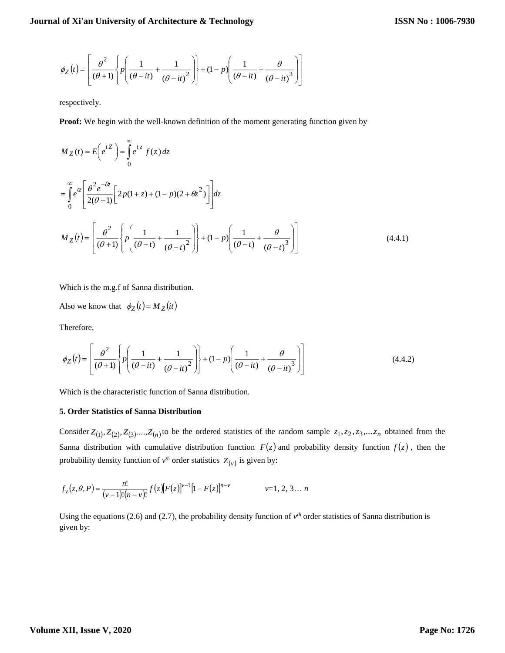$$
\phi_Z(t) = \left[ \frac{\theta^2}{(\theta+1)} \left\{ p \left( \frac{1}{(\theta-it)} + \frac{1}{(\theta-it)^2} \right) \right\} + (1-p) \left( \frac{1}{(\theta-it)} + \frac{\theta}{(\theta-it)^3} \right) \right]
$$

respectively.

**Proof:** We begin with the well-known definition of the moment generating function given by

$$
M_Z(t) = E\left(e^{tZ}\right) = \int_0^\infty e^{tz} f(z) dz
$$
  
\n
$$
= \int_0^\infty e^{tz} \left[ \frac{\theta^2 e^{-\theta z}}{2(\theta + 1)} \left[ 2p(1 + z) + (1 - p)(2 + \theta z^2) \right] \right] dz
$$
  
\n
$$
M_Z(t) = \left[ \frac{\theta^2}{(\theta + 1)} \left\{ p \left( \frac{1}{(\theta - t)} + \frac{1}{(\theta - t)^2} \right) \right\} + (1 - p) \left( \frac{1}{(\theta - t)} + \frac{\theta}{(\theta - t)^3} \right) \right]
$$
(4.4.1)

Which is the m.g.f of Sanna distribution.

Also we know that  $\phi_Z(t) = M_Z(it)$ 

Therefore,

$$
\phi_Z(t) = \left[ \frac{\theta^2}{(\theta+1)} \left\{ p \left( \frac{1}{(\theta-it)} + \frac{1}{(\theta-it)^2} \right) \right\} + (1-p) \left( \frac{1}{(\theta-it)} + \frac{\theta}{(\theta-it)^3} \right) \right]
$$
(4.4.2)

Which is the characteristic function of Sanna distribution.

#### **5. Order Statistics of Sanna Distribution**

Consider  $Z_{(1)}$ ,  $Z_{(2)}$ ,  $Z_{(3)}$ ,..., $Z_{(n)}$  to be the ordered statistics of the random sample  $z_1$ ,  $z_2$ ,  $z_3$ ,... $z_n$  obtained from the Sanna distribution with cumulative distribution function  $F(z)$  and probability density function  $f(z)$ , then the probability density function of  $v<sup>th</sup>$  order statistics  $Z(v)$  is given by:

$$
f_{\nu}(z,\theta,P) = \frac{n!}{(\nu-1)!(n-\nu)!} f(z)[F(z)]^{\nu-1}[1-F(z)]^{n-\nu} \qquad \nu=1, 2, 3... n
$$

Using the equations (2.6) and (2.7), the probability density function of  $v<sup>th</sup>$  order statistics of Sanna distribution is given by: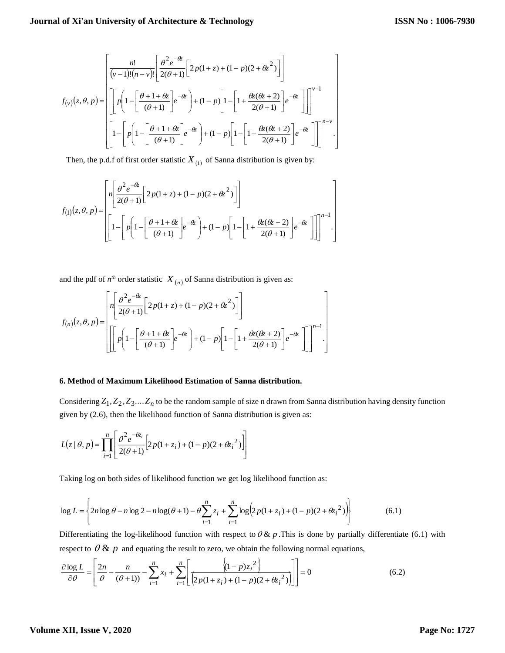$$
f_{(v)}(z,\theta,p) = \left[ \frac{n!}{(v-1)!(n-v)!} \left[ \frac{\theta^2 e^{-\theta z}}{2(\theta+1)} \left[ 2p(1+z) + (1-p)(2+\theta z^2) \right] \right] \right]^{v-1}
$$

$$
f_{(v)}(z,\theta,p) = \left[ \left[ p \left( 1 - \left[ \frac{\theta+1+\theta z}{(\theta+1)} \right] e^{-\theta z} \right) + (1-p) \left[ 1 - \left[ 1 + \frac{\theta z(\theta z+2)}{2(\theta+1)} \right] e^{-\theta z} \right] \right] \right]^{v-1}
$$

$$
\left[ 1 - \left[ p \left( 1 - \left[ \frac{\theta+1+\theta z}{(\theta+1)} \right] e^{-\theta z} \right) + (1-p) \left[ 1 - \left[ 1 + \frac{\theta z(\theta z+2)}{2(\theta+1)} \right] e^{-\theta z} \right] \right] \right]^{n-v}.
$$

Then, the p.d.f of first order statistic  $X_{(1)}$  of Sanna distribution is given by:

$$
f_{(1)}(z,\theta,p) = \left[\begin{aligned} & n \left[ \frac{\theta^2 e^{-\theta z}}{2(\theta+1)} \left[ 2p(1+z) + (1-p)(2+\theta z^2) \right] \right] \\ & \left[ 1 - \left[ p \left( 1 - \left[ \frac{\theta+1+\theta z}{(\theta+1)} \right] e^{-\theta z} \right) + (1-p) \left[ 1 - \left[ 1 + \frac{\theta z(\theta z+2)}{2(\theta+1)} \right] e^{-\theta z} \right] \right] \right]^{n-1} .\end{aligned}\right]
$$

and the pdf of  $n^{th}$  order statistic  $X_{(n)}$  of Sanna distribution is given as:

$$
f_{(n)}(z,\theta,p) = \left[\frac{n\left[\frac{\theta^2 e^{-\theta z}}{2(\theta+1)} \left[2p(1+z)+(1-p)(2+\theta z^2)\right]\right]}{\left[\left[\left[p\left(1-\left[\frac{\theta+1+\theta z}{(\theta+1)}\right]e^{-\theta z}\right)+(1-p)\left[1-\left[1+\frac{\theta z(\theta z+2)}{2(\theta+1)}\right]e^{-\theta z}\right]\right]\right]^{n-1}\right]}
$$

#### **6. Method of Maximum Likelihood Estimation of Sanna distribution.**

Considering  $Z_1, Z_2, Z_3, \ldots, Z_n$  to be the random sample of size n drawn from Sanna distribution having density function given by (2.6), then the likelihood function of Sanna distribution is given as:

$$
L(z | \theta, p) = \prod_{i=1}^{n} \left[ \frac{\theta^{2} e^{-\theta z_{i}}}{2(\theta + 1)} \left[ 2p(1 + z_{i}) + (1 - p)(2 + {\theta z_{i}}^{2}) \right] \right]
$$

Taking log on both sides of likelihood function we get log likelihood function as:

$$
\log L = \left\{ 2n \log \theta - n \log 2 - n \log(\theta + 1) - \theta \sum_{i=1}^{n} z_i + \sum_{i=1}^{n} \log \left( 2p(1 + z_i) + (1 - p)(2 + \theta z_i)^2 \right) \right\}
$$
(6.1)

respect to  $\theta \& p$  and equating the result to zero, we obtain the following normal equations, Differentiating the log-likelihood function with respect to  $\theta \& p$ . This is done by partially differentiate (6.1) with

$$
\frac{\partial \log L}{\partial \theta} = \left[ \frac{2n}{\theta} - \frac{n}{(\theta + 1)} \right] - \sum_{i=1}^{n} x_i + \sum_{i=1}^{n} \left[ \frac{\left\langle (1 - p) z_i^2 \right\rangle}{\left( 2p(1 + z_i) + (1 - p)(2 + \theta z_i^2) \right)} \right] = 0 \tag{6.2}
$$

# **Volume XII, Issue V, 2020**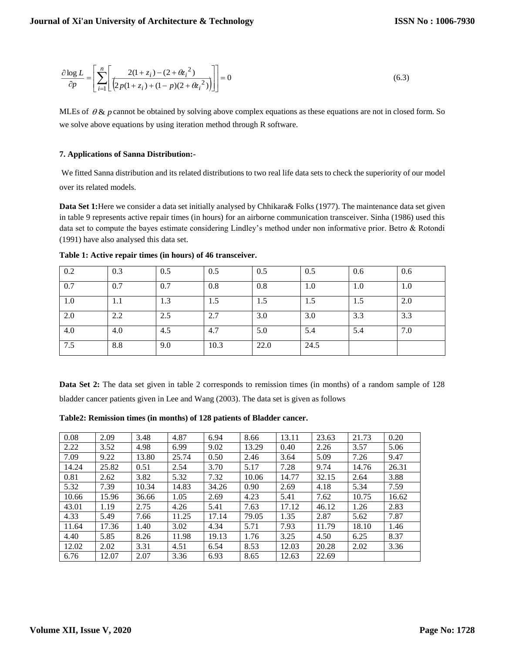$$
\frac{\partial \log L}{\partial p} = \left[ \sum_{i=1}^{n} \left[ \frac{2(1+z_i) - (2 + {\theta z_i}^2)}{\left( 2p(1+z_i) + (1-p)(2 + {\theta z_i}^2) \right)} \right] \right] = 0 \tag{6.3}
$$

MLEs of  $\theta$  & p cannot be obtained by solving above complex equations as these equations are not in closed form. So we solve above equations by using iteration method through R software.

# **7. Applications of Sanna Distribution:-**

We fitted Sanna distribution and its related distributions to two real life data sets to check the superiority of our model over its related models.

**Data Set 1:**Here we consider a data set initially analysed by Chhikara& Folks (1977). The maintenance data set given in table 9 represents active repair times (in hours) for an airborne communication transceiver. Sinha (1986) used this data set to compute the bayes estimate considering Lindley's method under non informative prior. Betro & Rotondi (1991) have also analysed this data set.

| 0.2 | 0.3 | 0.5 | 0.5  | 0.5  | 0.5  | 0.6 | 0.6 |
|-----|-----|-----|------|------|------|-----|-----|
| 0.7 | 0.7 | 0.7 | 0.8  | 0.8  | 1.0  | 1.0 | 1.0 |
| 1.0 | 1.1 | 1.3 | 1.5  | 1.5  | 1.5  | 1.5 | 2.0 |
| 2.0 | 2.2 | 2.5 | 2.7  | 3.0  | 3.0  | 3.3 | 3.3 |
| 4.0 | 4.0 | 4.5 | 4.7  | 5.0  | 5.4  | 5.4 | 7.0 |
| 7.5 | 8.8 | 9.0 | 10.3 | 22.0 | 24.5 |     |     |

**Table 1: Active repair times (in hours) of 46 transceiver.**

**Data Set 2:** The data set given in table 2 corresponds to remission times (in months) of a random sample of 128 bladder cancer patients given in Lee and Wang (2003). The data set is given as follows

**Table2: Remission times (in months) of 128 patients of Bladder cancer.**

| 0.08  | 2.09  | 3.48  | 4.87  | 6.94  | 8.66  | 13.11 | 23.63 | 21.73 | 0.20  |
|-------|-------|-------|-------|-------|-------|-------|-------|-------|-------|
| 2.22  | 3.52  | 4.98  | 6.99  | 9.02  | 13.29 | 0.40  | 2.26  | 3.57  | 5.06  |
| 7.09  | 9.22  | 13.80 | 25.74 | 0.50  | 2.46  | 3.64  | 5.09  | 7.26  | 9.47  |
| 14.24 | 25.82 | 0.51  | 2.54  | 3.70  | 5.17  | 7.28  | 9.74  | 14.76 | 26.31 |
| 0.81  | 2.62  | 3.82  | 5.32  | 7.32  | 10.06 | 14.77 | 32.15 | 2.64  | 3.88  |
| 5.32  | 7.39  | 10.34 | 14.83 | 34.26 | 0.90  | 2.69  | 4.18  | 5.34  | 7.59  |
| 10.66 | 15.96 | 36.66 | 1.05  | 2.69  | 4.23  | 5.41  | 7.62  | 10.75 | 16.62 |
| 43.01 | 1.19  | 2.75  | 4.26  | 5.41  | 7.63  | 17.12 | 46.12 | 1.26  | 2.83  |
| 4.33  | 5.49  | 7.66  | 11.25 | 17.14 | 79.05 | 1.35  | 2.87  | 5.62  | 7.87  |
| 11.64 | 17.36 | 1.40  | 3.02  | 4.34  | 5.71  | 7.93  | 11.79 | 18.10 | 1.46  |
| 4.40  | 5.85  | 8.26  | 11.98 | 19.13 | 1.76  | 3.25  | 4.50  | 6.25  | 8.37  |
| 12.02 | 2.02  | 3.31  | 4.51  | 6.54  | 8.53  | 12.03 | 20.28 | 2.02  | 3.36  |
| 6.76  | 12.07 | 2.07  | 3.36  | 6.93  | 8.65  | 12.63 | 22.69 |       |       |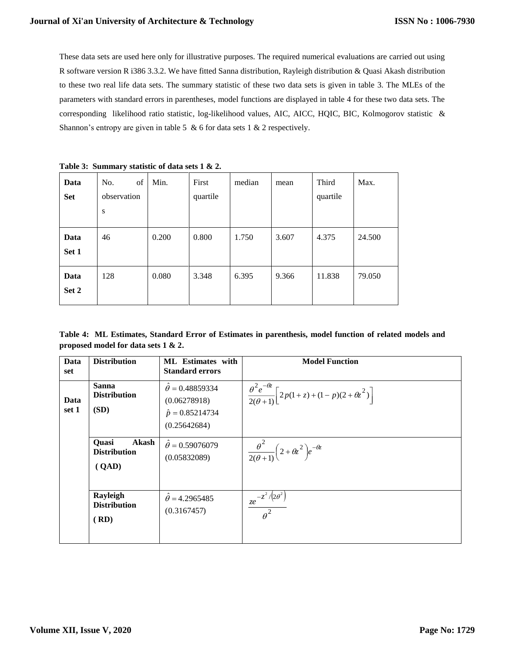These data sets are used here only for illustrative purposes. The required numerical evaluations are carried out using R software version R i386 3.3.2. We have fitted Sanna distribution, Rayleigh distribution & Quasi Akash distribution to these two real life data sets. The summary statistic of these two data sets is given in table 3. The MLEs of the parameters with standard errors in parentheses, model functions are displayed in table 4 for these two data sets. The corresponding likelihood ratio statistic, log-likelihood values, AIC, AICC, HQIC, BIC, Kolmogorov statistic & Shannon's entropy are given in table 5  $\&$  6 for data sets 1  $\&$  2 respectively.

| $\frac{1}{2}$ and $\frac{1}{2}$ . Deministry between the state between $\frac{1}{2}$ we have |                               |       |                   |        |       |                   |        |  |  |  |  |
|----------------------------------------------------------------------------------------------|-------------------------------|-------|-------------------|--------|-------|-------------------|--------|--|--|--|--|
| Data<br><b>Set</b>                                                                           | of<br>No.<br>observation<br>S | Min.  | First<br>quartile | median | mean  | Third<br>quartile | Max.   |  |  |  |  |
|                                                                                              |                               |       |                   |        |       |                   |        |  |  |  |  |
| Data                                                                                         | 46                            | 0.200 | 0.800             | 1.750  | 3.607 | 4.375             | 24.500 |  |  |  |  |
| Set 1                                                                                        |                               |       |                   |        |       |                   |        |  |  |  |  |
| Data                                                                                         | 128                           | 0.080 | 3.348             | 6.395  | 9.366 | 11.838            | 79.050 |  |  |  |  |
| Set 2                                                                                        |                               |       |                   |        |       |                   |        |  |  |  |  |

**Table 3: Summary statistic of data sets 1 & 2.**

**Table 4: ML Estimates, Standard Error of Estimates in parenthesis, model function of related models and proposed model for data sets 1 & 2.**

| Data<br>set   | <b>Distribution</b>                                   | ML Estimates with<br><b>Standard errors</b>                                            | <b>Model Function</b>                                                                     |
|---------------|-------------------------------------------------------|----------------------------------------------------------------------------------------|-------------------------------------------------------------------------------------------|
| Data<br>set 1 | <b>Sanna</b><br><b>Distribution</b><br>(SD)           | $\ddot{\theta} = 0.48859334$<br>(0.06278918)<br>$\hat{p} = 0.85214734$<br>(0.25642684) | $\frac{\theta^2 e^{-\theta z}}{2(\theta+1)} \left[ 2p(1+z) + (1-p)(2+\theta z^2) \right]$ |
|               | Akash<br><b>Ouasi</b><br><b>Distribution</b><br>(QAD) | $\ddot{\theta} = 0.59076079$<br>(0.05832089)                                           | $\frac{\theta^2}{2(\theta+1)}\left(2+\theta z^2\right)e^{-\theta z}$                      |
|               | Rayleigh<br><b>Distribution</b><br>(RD)               | $\ddot{\theta} = 4.2965485$<br>(0.3167457)                                             | $\frac{ze^{-z^2/(2\theta^2)}}{\theta^2}$                                                  |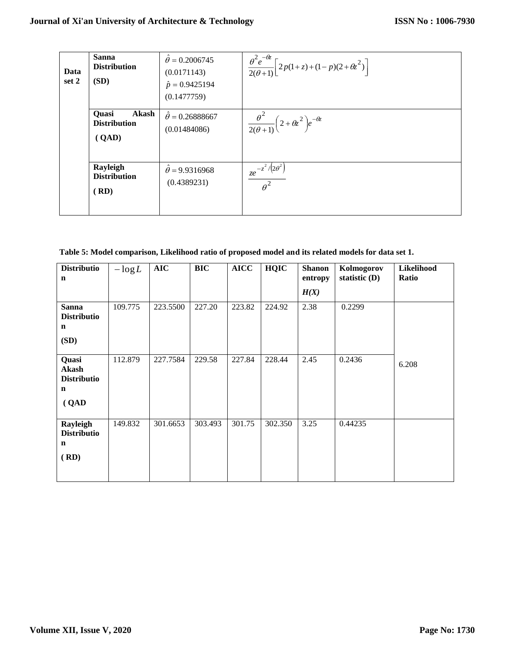| Data<br>set 2 | <b>Sanna</b><br><b>Distribution</b><br>(SD)           | $\theta = 0.2006745$<br>(0.0171143)<br>$\hat{p} = 0.9425194$<br>(0.1477759) | $\frac{\theta^2 e^{-\theta z}}{2(\theta+1)} \left[ 2p(1+z) + (1-p)(2+\theta z^2) \right]$ |
|---------------|-------------------------------------------------------|-----------------------------------------------------------------------------|-------------------------------------------------------------------------------------------|
|               | <b>Quasi</b><br>Akash<br><b>Distribution</b><br>(QAD) | $\ddot{\theta} = 0.26888667$<br>(0.01484086)                                | $\frac{\theta^2}{2(\theta+1)}\left(2+\theta z^2\right)e^{-\theta z}$                      |
|               | Rayleigh<br><b>Distribution</b><br>(RD)               | $\theta$ = 9.9316968<br>(0.4389231)                                         | $\int \frac{ze^{-z^2}}{z^2} dz$<br>$\theta^2$                                             |

**Table 5: Model comparison, Likelihood ratio of proposed model and its related models for data set 1.**

| <b>Distributio</b><br>n                                             | $-\log L$ | <b>AIC</b> | <b>BIC</b> | <b>AICC</b> | <b>HQIC</b> | <b>Shanon</b><br>entropy | Kolmogorov<br>statistic $(D)$ | Likelihood<br>Ratio |
|---------------------------------------------------------------------|-----------|------------|------------|-------------|-------------|--------------------------|-------------------------------|---------------------|
|                                                                     |           |            |            |             |             | H(X)                     |                               |                     |
| <b>Sanna</b><br><b>Distributio</b><br>n<br>(SD)                     | 109.775   | 223.5500   | 227.20     | 223.82      | 224.92      | 2.38                     | 0.2299                        |                     |
| Quasi<br><b>Akash</b><br><b>Distributio</b><br>$\mathbf n$<br>(QAD) | 112.879   | 227.7584   | 229.58     | 227.84      | 228.44      | 2.45                     | 0.2436                        | 6.208               |
| Rayleigh<br><b>Distributio</b><br>$\mathbf n$<br>(RD)               | 149.832   | 301.6653   | 303.493    | 301.75      | 302.350     | 3.25                     | 0.44235                       |                     |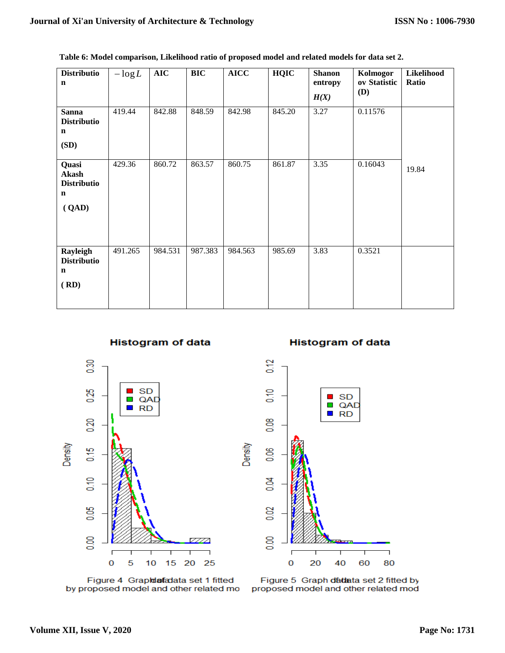| <b>Distributio</b><br>$\mathbf n$                                   | $-\log L$ | AIC     | <b>BIC</b> | <b>AICC</b> | <b>HQIC</b> | <b>Shanon</b><br>entropy<br>H(X) | Kolmogor<br>ov Statistic<br><b>(D)</b> | Likelihood<br>Ratio |
|---------------------------------------------------------------------|-----------|---------|------------|-------------|-------------|----------------------------------|----------------------------------------|---------------------|
| <b>Sanna</b><br><b>Distributio</b><br>$\mathbf n$<br>(SD)           | 419.44    | 842.88  | 848.59     | 842.98      | 845.20      | 3.27                             | 0.11576                                |                     |
| Quasi<br><b>Akash</b><br><b>Distributio</b><br>$\mathbf n$<br>(QAD) | 429.36    | 860.72  | 863.57     | 860.75      | 861.87      | 3.35                             | 0.16043                                | 19.84               |
| Rayleigh<br><b>Distributio</b><br>$\mathbf n$<br>(RD)               | 491.265   | 984.531 | 987.383    | 984.563     | 985.69      | 3.83                             | 0.3521                                 |                     |

0.12

 $\frac{1}{2}$ 

80.0

80.0

 $0.04$ 

0.02

8,00

 $\bf{0}$ 

20

Density

**Table 6: Model comparison, Likelihood ratio of proposed model and related models for data set 2.**





**SD** 

 $\blacksquare$ 

T **RD** 

QAD



Figure 4 Grapidafadata set 1 fitted by proposed model and other related mo



40

60

٦

80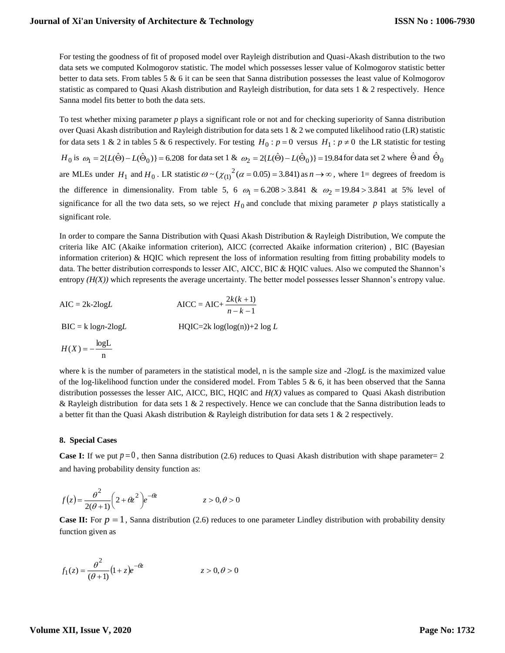For testing the goodness of fit of proposed model over Rayleigh distribution and Quasi-Akash distribution to the two data sets we computed Kolmogorov statistic. The model which possesses lesser value of Kolmogorov statistic better better to data sets. From tables 5 & 6 it can be seen that Sanna distribution possesses the least value of Kolmogorov statistic as compared to Quasi Akash distribution and Rayleigh distribution, for data sets 1 & 2 respectively. Hence Sanna model fits better to both the data sets.

To test whether mixing parameter *p* plays a significant role or not and for checking superiority of Sanna distribution over Quasi Akash distribution and Rayleigh distribution for data sets 1 & 2 we computed likelihood ratio (LR) statistic for data sets 1 & 2 in tables 5 & 6 respectively. For testing  $H_0: p=0$  versus  $H_1: p \neq 0$  the LR statistic for testing  $H_0$  is  $\omega_1 = 2\{L(\hat{\Theta}) - L(\hat{\Theta}_0)\} = 6.208$  for data set 1 &  $\omega_2 = 2\{L(\hat{\Theta}) - L(\hat{\Theta}_0)\} = 19.84$  for data set 2 where  $\hat{\Theta}$  and  $\hat{\Theta}_0$ are MLEs under  $H_1$  and  $H_0$ . LR statistic  $\omega \sim (\chi_{(1)}^2 (\alpha = 0.05) = 3.841)$  as  $n \to \infty$ , where 1= degrees of freedom is the difference in dimensionality. From table 5, 6  $\omega_1 = 6.208 > 3.841$  &  $\omega_2 = 19.84 > 3.841$  at 5% level of significance for all the two data sets, so we reject  $H_0$  and conclude that mixing parameter p plays statistically a significant role.

In order to compare the Sanna Distribution with Quasi Akash Distribution & Rayleigh Distribution, We compute the criteria like AIC (Akaike information criterion), AICC (corrected Akaike information criterion) , BIC (Bayesian information criterion) & HQIC which represent the loss of information resulting from fitting probability models to data. The better distribution corresponds to lesser AIC, AICC, BIC & HQIC values. Also we computed the Shannon's entropy *(H(X))* which represents the average uncertainty. The better model possesses lesser Shannon's entropy value.

$$
AIC = 2k-2logL
$$
  
\n
$$
AICC = AIC + \frac{2k(k+1)}{n-k-1}
$$
  
\n
$$
BIC = k logn-2logL
$$
  
\n
$$
H(1X) = -\frac{logL}{n}
$$
  
\n
$$
H(2X) = -\frac{logL}{n}
$$

where k is the number of parameters in the statistical model, n is the sample size and -2log*L* is the maximized value of the log-likelihood function under the considered model. From Tables 5 & 6, it has been observed that the Sanna distribution possesses the lesser AIC, AICC, BIC, HQIC and *H(X)* values as compared to Quasi Akash distribution & Rayleigh distribution for data sets 1 & 2 respectively. Hence we can conclude that the Sanna distribution leads to a better fit than the Quasi Akash distribution & Rayleigh distribution for data sets 1 & 2 respectively.

# **8. Special Cases**

**Case I:** If we put  $p=0$ , then Sanna distribution (2.6) reduces to Quasi Akash distribution with shape parameter = 2 and having probability density function as:

$$
f(z) = \frac{\theta^2}{2(\theta + 1)} \left(2 + \theta z^2\right) e^{-\theta z} \qquad z > 0, \theta > 0
$$

**Case II:** For  $p = 1$ , Sanna distribution (2.6) reduces to one parameter Lindley distribution with probability density function given as

$$
f_1(z) = \frac{\theta^2}{(\theta + 1)} (1 + z)e^{-\theta z} \qquad z > 0, \theta > 0
$$